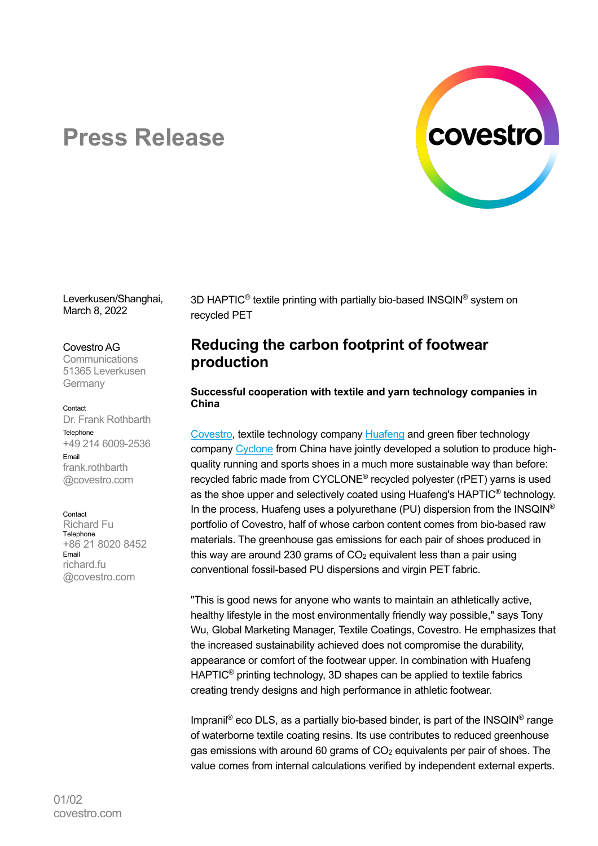

# **Press Release**

Leverkusen/Shanghai, March 8, 2022

### Covestro AG

**Communications** 51365 Leverkusen Germany

### Contact

Dr. Frank Rothbarth Telephone +49 214 6009-2536 Email frank.rothbarth @covestro.com

### Contact

Richard Fu **Telephone** +86 21 8020 8452 Email richard.fu @covestro.com

3D HAPTIC<sup>®</sup> textile printing with partially bio-based INSQIN<sup>®</sup> system on recycled PET

# **Reducing the carbon footprint of footwear production**

### **Successful cooperation with textile and yarn technology companies in China**

Covestro, textile technology company Huafeng and green fiber technology company Cyclone from China have jointly developed a solution to produce highquality running and sports shoes in a much more sustainable way than before: recycled fabric made from CYCLONE® recycled polyester (rPET) yarns is used as the shoe upper and selectively coated using Huafeng's HAPTIC® technology. In the process, Huafeng uses a polyurethane (PU) dispersion from the INSQIN<sup>®</sup> portfolio of Covestro, half of whose carbon content comes from bio-based raw materials. The greenhouse gas emissions for each pair of shoes produced in this way are around 230 grams of  $CO<sub>2</sub>$  equivalent less than a pair using conventional fossil-based PU dispersions and virgin PET fabric.

"This is good news for anyone who wants to maintain an athletically active, healthy lifestyle in the most environmentally friendly way possible," says Tony Wu, Global Marketing Manager, Textile Coatings, Covestro. He emphasizes that the increased sustainability achieved does not compromise the durability, appearance or comfort of the footwear upper. In combination with Huafeng HAPTIC® printing technology, 3D shapes can be applied to textile fabrics creating trendy designs and high performance in athletic footwear.

Impranil<sup>®</sup> eco DLS, as a partially bio-based binder, is part of the INSQIN<sup>®</sup> range of waterborne textile coating resins. Its use contributes to reduced greenhouse gas emissions with around 60 grams of CO<sub>2</sub> equivalents per pair of shoes. The value comes from internal calculations verified by independent external experts.